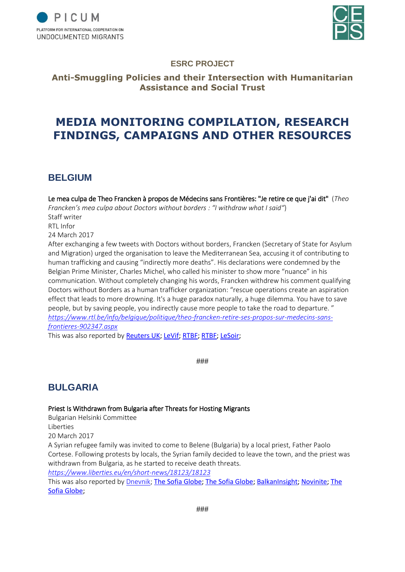



### **ESRC PROJECT**

### **Anti-Smuggling Policies and their Intersection with Humanitarian Assistance and Social Trust**

# **MEDIA MONITORING COMPILATION, RESEARCH FINDINGS, CAMPAIGNS AND OTHER RESOURCES**

### **BELGIUM**

Le mea culpa de Theo Francken à propos de Médecins sans Frontières: "Je retire ce que j'ai dit" (*Theo Francken's mea culpa about Doctors without borders : "I withdraw what I said"*) Staff writer RTL Infor 24 March 2017 After exchanging a few tweets with Doctors without borders, Francken (Secretary of State for Asylum and Migration) urged the organisation to leave the Mediterranean Sea, accusing it of contributing to human trafficking and causing "indirectly more deaths". His declarations were condemned by the Belgian Prime Minister, Charles Michel, who called his minister to show more "nuance" in his communication. Without completely changing his words, Francken withdrew his comment qualifying

Doctors without Borders as a human trafficker organization: "rescue operations create an aspiration effect that leads to more drowning. It's a huge paradox naturally, a huge dilemma. You have to save people, but by saving people, you indirectly cause more people to take the road to departure. " *[https://www.rtl.be/info/belgique/politique/theo-francken-retire-ses-propos-sur-medecins-sans](https://www.rtl.be/info/belgique/politique/theo-francken-retire-ses-propos-sur-medecins-sans-frontieres-902347.aspx)[frontieres-902347.aspx](https://www.rtl.be/info/belgique/politique/theo-francken-retire-ses-propos-sur-medecins-sans-frontieres-902347.aspx)*

This was also reported by [Reuters UK;](https://uk.reuters.com/article/uk-europe-migrants-belgium/belgian-migration-minister-criticises-aid-groups-for-rescuing-migrants-idUKKBN16S2FQ) [LeVif;](http://www.levif.be/actualite/belgique/medecins-sans-frontieres-et-theo-francken-s-affrontent-sur-twitter/article-normal-632367.html) [RTBF;](https://www.rtbf.be/info/belgique/detail_theo-francken-exige-que-msf-arrete-ses-sauvetages-en-mer-c-est-de-la-traite-d-etre-humain?id=9560415) [RTBF;](https://www.rtbf.be/info/belgique/detail_tweets-acerbes-de-theo-francken-a-msf-je-retire-mes-mots-msf-ne-fait-pas-de-traite-des-etres-humains?id=9563234) [LeSoir;](http://plus.lesoir.be/87284/article/2017-03-24/theo-francken-medecins-sans-frontieres)

###

### **BULGARIA**

### Priest Is Withdrawn from Bulgaria after Threats for Hosting Migrants

Bulgarian Helsinki Committee Liberties 20 March 2017

A Syrian refugee family was invited to come to Belene (Bulgaria) by a local priest, Father Paolo Cortese. Following protests by locals, the Syrian family decided to leave the town, and the priest was withdrawn from Bulgaria, as he started to receive death threats.

*<https://www.liberties.eu/en/short-news/18123/18123>*

This was also reported by [Dnevnik;](http://www.dnevnik.bg/politika/2017/03/10/2932604_otec_paolo_kortezi_ot_belene_napuska_bulgariia/) [The Sofia Globe;](http://sofiaglobe.com/2017/03/10/roman-catholic-priest-who-sheltered-syrian-refugees-at-belene-is-leaving-bulgaria/) The Sofia Globe; [BalkanInsight;](http://www.balkaninsight.com/en/article/catholic-priest-leaves-bulgaria-over-threats-for-sheltering-refugees-03-10-2017) [Novinite;](http://www.novinite.com/articles/179134/Catholic+Priest+in+Bulgaria+Gets+Death+Threat+for+Helping+Syrian+Refugee+Family) The [Sofia Globe;](http://sofiaglobe.com/2017/03/12/belene-case-catholic-priest-where-are-you-patriarch-neofit-where-are-you-mr-president-radev/)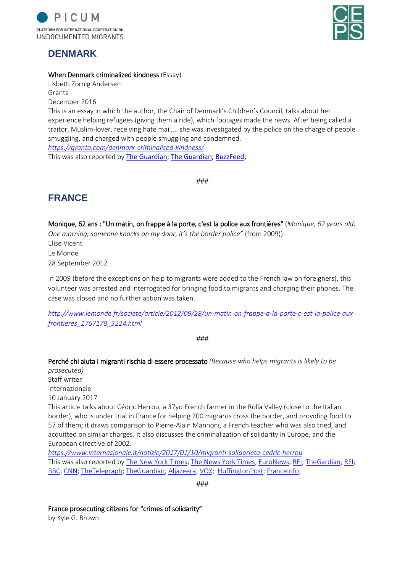

### **DENMARK**



### When Denmark criminalized kindness (Essay)

Lisbeth Zornig Andersen Granta December 2016

This is an essay in which the author, the Chair of Denmark's Children's Council, talks about her experience helping refugees (giving them a ride), which footages made the news. After being called a traitor, Muslim-lover, receiving hate mail,… she was investigated by the police on the charge of people smuggling, and charged with people smuggling and condemned.

*<https://granta.com/denmark-criminalised-kindness/>*

This was also reported by [The Guardian;](https://www.theguardian.com/world/2016/dec/20/prosecuted-helping-syrian-refugees-denmark-people-smuggling) [The Guardian;](https://www.theguardian.com/world/2016/mar/11/danish-childrens-rights-activist-lisbeth-zornig-people-trafficking) [BuzzFeed;](https://www.buzzfeed.com/matthewchampion/danish-couple-guilty-of-giving-syrian-family-a-lift?utm_term=.ak5a7W3zg#.vt5rE2e0A)

###

### **FRANCE**

Monique, 62 ans : "Un matin, on frappe à la porte, c'est la police aux frontières" (*Monique, 62 years old: One morning, someone knocks on my door, it's the border police"* (from 2009)) Elise Vicent Le Monde 28 September 2012

In 2009 (before the exceptions on help to migrants were added to the French law on foreigners), this volunteer was arrested and interrogated for bringing food to migrants and charging their phones. The case was closed and no further action was taken.

*[http://www.lemonde.fr/societe/article/2012/09/28/un-matin-on-frappe-a-la-porte-c-est-la-police-aux](http://www.lemonde.fr/societe/article/2012/09/28/un-matin-on-frappe-a-la-porte-c-est-la-police-aux-frontieres_1767178_3224.html)[frontieres\\_1767178\\_3224.html](http://www.lemonde.fr/societe/article/2012/09/28/un-matin-on-frappe-a-la-porte-c-est-la-police-aux-frontieres_1767178_3224.html)*

###

Perché chi aiuta i migranti rischia di essere processato *(Because who helps migrants is likely to be* 

*prosecuted)* Staff writer Internazionale 10 January 2017 This article talks about Cédric Herrou, a 37yo French farmer in the Rolla Valley (close to the Italian border), who is under trial in France for helping 200 migrants cross the border, and providing food to 57 of them; it draws comparison to Pierre-Alain Mannoni, a French teacher who was also tried, and acquitted on similar charges. It also discusses the criminalization of solidarity in Europe, and the European directive of 2002. *<https://www.internazionale.it/notizie/2017/01/10/migranti-solidarieta-cedric-herrou>*

This was also reported by [The New York Times;](https://www.nytimes.com/2017/01/17/opinion/french-fraternity-and-migrants.html?mtrref=www.google.be&gwh=E2DD411A33721D06EBEC682905DA4343&gwt=pay&assetType=opinion) [The News York Times;](https://www.nytimes.com/2017/01/05/world/europe/cedric-herrou-migrant-smuggler-trial-france.html?mtrref=www.google.be&gwh=B635D3DE2BE2E11324411A0BCB42FC2A&gwt=pay) [EuroNews;](http://www.euronews.com/2017/01/04/french-farmer-on-trial-for-transporting-migrants-across-french-italian-border) [RFI;](http://en.rfi.fr/france/20170105-french-farmer-trial-aiding-eritrean-migrants) [TheGardian;](https://www.theguardian.com/world/2017/jan/04/french-farmer-cedric-herrou-trial-helping-migrants-italian-border) [RFI;](http://en.rfi.fr/europe/20170210-french-farmer-punished-helping-migrants-enter-italy) [BBC;](http://www.bbc.com/news/world-europe-38930619) [CNN;](http://edition.cnn.com/2017/02/10/europe/french-farmer-migrant-trial/index.html) [TheTelegraph;](http://www.telegraph.co.uk/news/2017/02/10/defiant-french-farmer-cedric-herrou-given-suspended-fine-helping/) [TheGuardian;](https://www.theguardian.com/world/2017/feb/10/cedric-herrou-farmer-given-suspended-3000-fine-for-helping-migrants-enter-france) [Aljazeera;](http://www.aljazeera.com/indepth/features/2017/01/france-prosecuting-citizens-crimes-solidarity-170122064151841.html) [VOX;](https://www.vox.com/world/2017/1/6/14191902/french-farmer-jail-immigrants-cedric-herrou) [HuffingtonPost;](http://www.huffingtonpost.fr/2017/01/06/aide-aux-migrants-pourquoi-le-cas-de-pierre-alain-mannoni-rela_a_21649077/) [FranceInfo;](https://www.francetvinfo.fr/monde/europe/migrants/un-agriculteur-de-la-vallee-de-roya-juge-pour-avoir-aide-des-migrants_2000793.html)

###

France prosecuting citizens for "crimes of solidarity"

by Kyle G. Brown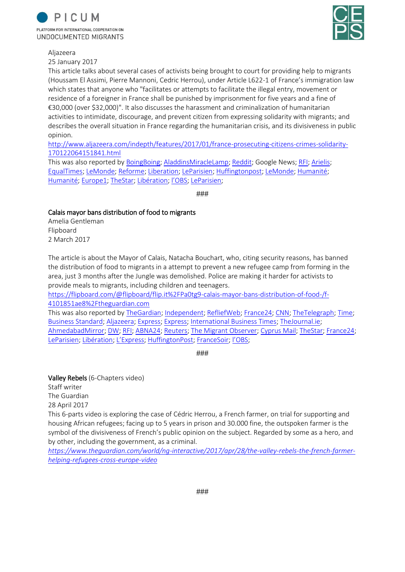



Aljazeera

25 January 2017

This article talks about several cases of activists being brought to court for providing help to migrants (Houssam El Assimi, Pierre Mannoni, Cedric Herrou), under Article L622-1 of France's immigration law which states that anyone who "facilitates or attempts to facilitate the illegal entry, movement or residence of a foreigner in France shall be punished by imprisonment for five years and a fine of €30,000 (over \$32,000)". It also discusses the harassment and criminalization of humanitarian activities to intimidate, discourage, and prevent citizen from expressing solidarity with migrants; and describes the overall situation in France regarding the humanitarian crisis, and its divisiveness in public opinion.

[http://www.aljazeera.com/indepth/features/2017/01/france-prosecuting-citizens-crimes-solidarity-](http://www.aljazeera.com/indepth/features/2017/01/france-prosecuting-citizens-crimes-solidarity-170122064151841.html)[170122064151841.html](http://www.aljazeera.com/indepth/features/2017/01/france-prosecuting-citizens-crimes-solidarity-170122064151841.html)

This was also reported b[y BoingBoing;](https://boingboing.net/2017/01/27/france-aggressively-prosecutes.html) [AladdinsMiracleLamp;](https://aladinsmiraclelamp.wordpress.com/2017/01/26/france-prosecuting-citizens-for-crimes-of-solidarity/) [Reddit;](https://www.reddit.com/r/europe/comments/5q93k5/france_prosecuting_citizens_for_crimes_of/) Google News; [RFI;](http://en.rfi.fr/europe/20170210-french-farmer-punished-helping-migrants-enter-italy) [Arielis;](https://arielis.com/news/article/france-prosecuting-citizens-for-crimes-of-solidarity/) [EqualTimes;](https://www.equaltimes.org/france-where-migrant-solidarity-is#.Whfo_4anGUk) [LeMonde;](http://www.lemonde.fr/paroles-de-sans-voix/article/2017/02/17/les-delinquants-solidaires-persistent-et-signent_5081259_5062434.html) [Reforme;](https://www.reforme.net/gratuit/les-delinquants-solidaires-et-laccueil-des-migrants/) [Liberation;](http://www.liberation.fr/france/2017/02/10/aide-aux-migrants-une-condamnation-de-principe-pour-cedric-herrou_1547662) [LeParisien;](http://www.leparisien.fr/faits-divers/aide-aux-migrants-nous-continuerons-a-etre-des-delinquants-de-la-solidarite-10-02-2017-6669699.php) [Huffingtonpost;](http://www.huffingtonpost.fr/2017/02/09/a-paris-les-delinquants-solidaires-se-mobilisent_a_21710612/?utm_hp_ref=fr-homepage) [LeMonde;](http://www.lemonde.fr/societe/article/2017/02/09/a-paris-un-rassemblement-contre-le-delit-de-solidarite_5077363_3224.html) [Humanité;](https://www.humanite.fr/delinquants-solidaires-ce-qui-nous-rassemble-cest-le-refus-de-lintimidation-631916) [Humanité;](https://www.humanite.fr/immigration-les-delinquants-solidaires-se-rebiffent-630395) [Europe1;](http://www.europe1.fr/societe/aide-aux-migrants-un-manifeste-pour-en-finir-avec-le-delit-de-solidarite-2950028) [TheStar;](https://www.thestar.com/news/world/2017/01/23/good-samaritans-or-criminals-france-wrestles-with-fate-of-those-helping-migrants.html) [Libération;](http://www.liberation.fr/france/2017/01/04/migrants-le-delit-de-solidarite-existe-t-il-encore_1539161) [l'OBS](https://tempsreel.nouvelobs.com/societe/20170210.OBS5130/aide-aux-migrants-cedric-herrou-condamne-a-3-000-euros-d-amende-avec-sursis.html)[; LeParisien;](http://www.leparisien.fr/societe/delit-de-solidarite-si-seulement-cedric-herrou-planquaient-les-migrants-27-07-2017-7160139.php)

###

### Calais mayor bans distribution of food to migrants

Amelia Gentleman Flipboard 2 March 2017

The article is about the Mayor of Calais, Natacha Bouchart, who, citing security reasons, has banned the distribution of food to migrants in a attempt to prevent a new refugee camp from forming in the area, just 3 months after the Jungle was demolished. Police are making it harder for activists to provide meals to migrants, including children and teenagers.

[https://flipboard.com/@flipboard/flip.it%2FPa0tg9-calais-mayor-bans-distribution-of-food-/f-](https://flipboard.com/@flipboard/flip.it%2FPa0tg9-calais-mayor-bans-distribution-of-food-/f-4101851ae8%2Ftheguardian.com)[4101851ae8%2Ftheguardian.com](https://flipboard.com/@flipboard/flip.it%2FPa0tg9-calais-mayor-bans-distribution-of-food-/f-4101851ae8%2Ftheguardian.com)

This was also reported b[y TheGardian;](https://www.theguardian.com/world/2017/mar/02/calais-mayor-bans-distribution-of-food-to-migrants) [Independent;](http://www.independent.co.uk/news/world/europe/calais-mayor-natacha-bouchart-jungle-refugee-camp-ban-food-distribution-migrants-a7608676.html) [RefliefWeb;](https://reliefweb.int/report/france/calais-mayor-bans-distribution-food-migrants) [France24;](http://www.france24.com/en/20170303-france-calais-mayor-prevents-food-distribution-migrants-uk-refugees) [CNN;](http://edition.cnn.com/2017/03/03/europe/calais-ban-food-aid/index.html) [TheTelegraph;](http://www.telegraph.co.uk/news/2017/03/03/calais-mayor-bans-food-handouts-migrants-french-port-city-tries/) [Time;](http://time.com/4689772/calais-mayor-bans-charities-from-handing-out-meals-to-migrants/) [Business Standard;](http://www.business-standard.com/article/news-ians/calais-mayor-bans-distribution-of-food-to-migrants-117030300449_1.html) [Aljazeera;](http://www.aljazeera.com/news/2017/03/calais-mayor-ban-food-aid-refugees-slammed-170303140016750.html) [Express;](https://www.express.co.uk/news/world/776132/calais-mayor-food-migrant-camp-jungle-extension) [Express;](https://www.express.co.uk/news/world/783436/Calais-migrants-French-court-overturns-Mayor-Bouchart-refugee-food-ban) [International Business Times;](http://www.ibtimes.co.uk/calais-mayor-bans-charities-distributing-food-migrants-1609518) [TheJournal.ie;](http://www.thejournal.ie/calais-migrant-food-ban-3267966-Mar2017/) [AhmedabadMirror;](http://ahmedabadmirror.indiatimes.com/news/world/calais-bans-distribution-of-food-to-migrants/articleshow/57454489.cms) [DW;](http://www.dw.com/en/calais-mayor-outlaws-food-handouts-for-migrants/a-37792786) [RFI;](http://en.rfi.fr/france/20170304-charities-outraged-over-calais-food-distribution-ban) [ABNA24;](http://en.abna24.com/news/europe/french-mayor-bans-distribution-of-food-to-migrants-in-calais_815323.html) [Reuters;](https://www.reuters.com/article/europe-migrants-calais/charities-slam-calais-ban-that-could-halt-food-aid-to-migrants-idUSL5N1GG1FQ) [The Migrant Observer;](http://www.themigrantobserver.com/calais-france-mayor-bans-distribution-food-migrants-wants-prevent-jungle-forming/) [Cyprus Mail;](http://cyprus-mail.com/2017/03/03/charities-slam-calais-ban-halt-food-aid-migrants/) [TheStar;](https://www.thestar.com.my/news/world/2017/03/03/charities-slam-calais-ban-that-could-halt-food-aid-to-migrants/) [France24;](http://www.france24.com/fr/20170303-maire-calais-dissuader-distribution-repas-migrants-refugies-nourriture-humanitaire) [LeParisien;](http://www.leparisien.fr/societe/calais-la-maire-interdit-la-distribution-de-repas-aux-migrants-03-03-2017-6729279.php) [Libération;](http://www.liberation.fr/france/2017/03/02/calais-desole-je-ne-peux-plus-vous-nourrir-a-cause-d-un-arrete-municipal_1552862) [L'Express](https://www.lexpress.fr/actualite/societe/fin-des-distributions-de-repas-aux-migrants-la-maire-de-calais-se-defend_1885704.html); [HuffingtonPost;](http://www.huffingtonpost.fr/2017/03/02/natacha-bouchart-la-maire-de-calais-interdit-la-distribution-de_a_21871914/) [FranceSoir;](http://www.francesoir.fr/politique-france/calais-defense-de-nourrir-les-migrants-decide-la-maire-natacha-bouchart) [l'OBS](http://tempsreel.nouvelobs.com/en-direct/a-chaud/34121-calais-maire-calais-prend-arrete-interdisant-distribution.html);

###

Valley Rebels (6-Chapters video) Staff writer The Guardian 28 April 2017 This 6-parts video is exploring the case of Cédric Herrou, a French farmer, on trial for supporting and housing African refugees; facing up to 5 years in prison and 30.000 fine, the outspoken farmer is the symbol of the divisiveness of French's public opinion on the subject. Regarded by some as a hero, and by other, including the government, as a criminal.

*[https://www.theguardian.com/world/ng-interactive/2017/apr/28/the-valley-rebels-the-french-farmer](https://www.theguardian.com/world/ng-interactive/2017/apr/28/the-valley-rebels-the-french-farmer-helping-refugees-cross-europe-video)[helping-refugees-cross-europe-video](https://www.theguardian.com/world/ng-interactive/2017/apr/28/the-valley-rebels-the-french-farmer-helping-refugees-cross-europe-video)*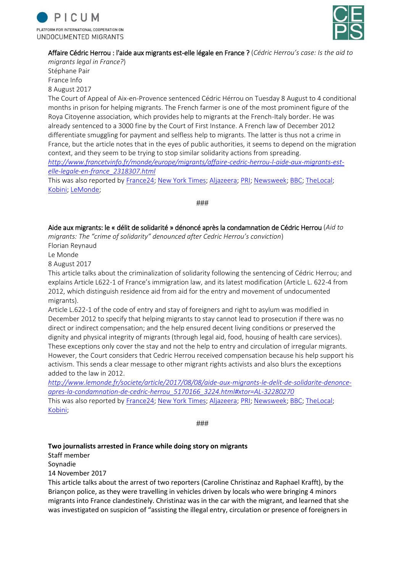



### Affaire Cédric Herrou : l'aide aux migrants est-elle légale en France ? (*Cédric Herrou's case: Is the aid to*

*migrants legal in France?*) Stéphane Pair France Info 8 August 2017

The Court of Appeal of Aix-en-Provence sentenced Cédric Hérrou on Tuesday 8 August to 4 conditional months in prison for helping migrants. The French farmer is one of the most prominent figure of the Roya Citoyenne association, which provides help to migrants at the French-Italy border. He was already sentenced to a 3000 fine by the Court of First Instance. A French law of December 2012 differentiate smuggling for payment and selfless help to migrants. The latter is thus not a crime in France, but the article notes that in the eyes of public authorities, it seems to depend on the migration context, and they seem to be trying to stop similar solidarity actions from spreading. *[http://www.francetvinfo.fr/monde/europe/migrants/affaire-cedric-herrou-l-aide-aux-migrants-est-](http://www.francetvinfo.fr/monde/europe/migrants/affaire-cedric-herrou-l-aide-aux-migrants-est-elle-legale-en-france_2318307.html)*

*[elle-legale-en-france\\_2318307.html](http://www.francetvinfo.fr/monde/europe/migrants/affaire-cedric-herrou-l-aide-aux-migrants-est-elle-legale-en-france_2318307.html)*

This was also reported b[y France24;](http://www.france24.com/en/20170808-french-rebel-valley-farmer-suspended-jail-term-helping-migrants-france) [New York Times;](https://www.nytimes.com/2017/08/08/world/europe/france-farmer-migrants-asylum.html) [Aljazeera;](http://www.aljazeera.com/news/2017/08/cedric-herrou-convicted-helping-refugees-border-170808082804597.html) [PRI;](https://www.pri.org/stories/2017-08-08/french-farmer-who-helped-migrants-crossing-italy-has-been-sentenced) [Newsweek;](http://www.newsweek.com/eu-refugees-france-farm-cedric-herrou-647764) [BBC;](http://www.bbc.com/news/world-europe-40860138) [TheLocal;](https://www.thelocal.fr/20170808/french-farmer-gets-suspended-sentence-for-helping-migrants) [Kobini;](http://speech.konbini.com/news/4-mois-de-prison-sursis-cedric-herrou-lhomme-aide-migrants/) [LeMonde;](http://www.lemonde.fr/societe/article/2017/08/08/aide-aux-migrants-le-delit-de-solidarite-denonce-apres-la-condamnation-de-cedric-herrou_5170166_3224.html#xtor=AL-32280270)

###

Aide aux migrants: le « délit de solidarité » dénoncé après la condamnation de Cédric Herrou (*Aid to migrants: The "crime of solidarity" denounced after Cedric Herrou's conviction*)

Florian Reynaud

Le Monde

8 August 2017

This article talks about the criminalization of solidarity following the sentencing of Cédric Herrou; and explains Article L622-1 of France's immigration law, and its latest modification (Article L. 622-4 from 2012, which distinguish residence aid from aid for the entry and movement of undocumented migrants).

Article L.622-1 of the code of entry and stay of foreigners and right to asylum was modified in December 2012 to specify that helping migrants to stay cannot lead to prosecution if there was no direct or indirect compensation; and the help ensured decent living conditions or preserved the dignity and physical integrity of migrants (through legal aid, food, housing of health care services). These exceptions only cover the stay and not the help to entry and circulation of irregular migrants. However, the Court considers that Cedric Herrou received compensation because his help support his activism. This sends a clear message to other migrant rights activists and also blurs the exceptions added to the law in 2012.

*[http://www.lemonde.fr/societe/article/2017/08/08/aide-aux-migrants-le-delit-de-solidarite-denonce](http://www.lemonde.fr/societe/article/2017/08/08/aide-aux-migrants-le-delit-de-solidarite-denonce-apres-la-condamnation-de-cedric-herrou_5170166_3224.html#xtor=AL-32280270)[apres-la-condamnation-de-cedric-herrou\\_5170166\\_3224.html#xtor=AL-32280270](http://www.lemonde.fr/societe/article/2017/08/08/aide-aux-migrants-le-delit-de-solidarite-denonce-apres-la-condamnation-de-cedric-herrou_5170166_3224.html#xtor=AL-32280270)* This was also reported b[y France24;](http://www.france24.com/en/20170808-french-rebel-valley-farmer-suspended-jail-term-helping-migrants-france) [New York Times;](https://www.nytimes.com/2017/08/08/world/europe/france-farmer-migrants-asylum.html) [Aljazeera;](http://www.aljazeera.com/news/2017/08/cedric-herrou-convicted-helping-refugees-border-170808082804597.html) [PRI;](https://www.pri.org/stories/2017-08-08/french-farmer-who-helped-migrants-crossing-italy-has-been-sentenced) [Newsweek;](http://www.newsweek.com/eu-refugees-france-farm-cedric-herrou-647764) [BBC;](http://www.bbc.com/news/world-europe-40860138) [TheLocal;](https://www.thelocal.fr/20170808/french-farmer-gets-suspended-sentence-for-helping-migrants) [Kobini;](http://speech.konbini.com/news/4-mois-de-prison-sursis-cedric-herrou-lhomme-aide-migrants/)

###

### **Two journalists arrested in France while doing story on migrants**

Staff member

Soynadie

14 November 2017

This article talks about the arrest of two reporters (Caroline Christinaz and Raphael Krafft), by the Briançon police, as they were travelling in vehicles driven by locals who were bringing 4 minors migrants into France clandestinely. Christinaz was in the car with the migrant, and learned that she was investigated on suspicion of "assisting the illegal entry, circulation or presence of foreigners in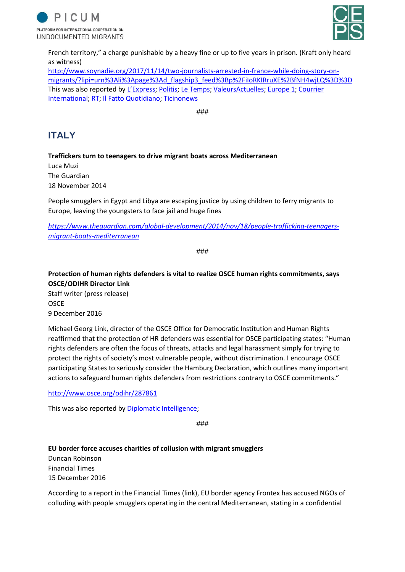



French territory," a charge punishable by a heavy fine or up to five years in prison. (Kraft only heard as witness)

[http://www.soynadie.org/2017/11/14/two-journalists-arrested-in-france-while-doing-story-on](http://www.soynadie.org/2017/11/14/two-journalists-arrested-in-france-while-doing-story-on-migrants/?lipi=urn%3Ali%3Apage%3Ad_flagship3_feed%3Bp%2FiIoRKIRruXE%2BfNH4wjLQ%3D%3D)[migrants/?lipi=urn%3Ali%3Apage%3Ad\\_flagship3\\_feed%3Bp%2FiIoRKIRruXE%2BfNH4wjLQ%3D%3D](http://www.soynadie.org/2017/11/14/two-journalists-arrested-in-france-while-doing-story-on-migrants/?lipi=urn%3Ali%3Apage%3Ad_flagship3_feed%3Bp%2FiIoRKIRruXE%2BfNH4wjLQ%3D%3D) This was also reported by [L'Express](https://www.lexpress.fr/actualite/monde/europe/une-journaliste-suisse-enquetant-sur-les-migrants-arretee-par-la-gendarmerie_1960649.html)[; Politis;](https://www.politis.fr/articles/2017/11/briancon-deux-journalistes-arretes-par-la-gendarmerie-lors-dun-reportage-sur-des-refugies-37954/) [Le Temps;](https://www.letemps.ch/opinions/2017/11/15/polemique-enfle-apres-linterrogatoire-journaliste-temps-briancon) [ValeursActuelles;](https://www.valeursactuelles.com/faits-divers/une-journaliste-suisse-arretee-lors-dune-enquete-sur-des-migrants-90617) [Europe](http://www.europe1.fr/international/une-journaliste-suisse-en-reportage-arretee-par-la-gendarmerie-francaise-3492608) 1; [Courrier](https://www.courrierinternational.com/article/journaliste-suisse-interpellee-en-france-une-intolerable-attaque-contre-la-presse)  [International;](https://www.courrierinternational.com/article/journaliste-suisse-interpellee-en-france-une-intolerable-attaque-contre-la-presse) [RT;](https://francais.rt.com/france/45614-journaliste-suisse-reportage-migrants) [Il Fatto Quotidiano;](https://www.ilfattoquotidiano.it/premium/articoli/due-giornalisti-arrestati-per-uninchiesta-sui-migranti/) [Ticinonews](http://www.ticinonews.ch/svizzera/423171/giornalista-di-le-temps-fermata-e-interrogata-in-francia) 

###

# **ITALY**

**Traffickers turn to teenagers to drive migrant boats across Mediterranean**

Luca Muzi The Guardian 18 November 2014

People smugglers in Egypt and Libya are escaping justice by using children to ferry migrants to Europe, leaving the youngsters to face jail and huge fines

*[https://www.theguardian.com/global-development/2014/nov/18/people-trafficking-teenagers](https://www.theguardian.com/global-development/2014/nov/18/people-trafficking-teenagers-migrant-boats-mediterranean)[migrant-boats-mediterranean](https://www.theguardian.com/global-development/2014/nov/18/people-trafficking-teenagers-migrant-boats-mediterranean)*

###

**Protection of human rights defenders is vital to realize OSCE human rights commitments, says OSCE/ODIHR Director Link**

Staff writer (press release) OSCE 9 December 2016

Michael Georg Link, director of the OSCE Office for Democratic Institution and Human Rights reaffirmed that the protection of HR defenders was essential for OSCE participating states: "Human rights defenders are often the focus of threats, attacks and legal harassment simply for trying to protect the rights of society's most vulnerable people, without discrimination. I encourage OSCE participating States to seriously consider the Hamburg Declaration, which outlines many important actions to safeguard human rights defenders from restrictions contrary to OSCE commitments."

<http://www.osce.org/odihr/287861>

This was also reported by **Diplomatic Intelligence**;

###

**EU border force accuses charities of collusion with migrant smugglers**

Duncan Robinson Financial Times 15 December 2016

According to a report in the Financial Times (link), EU border agency Frontex has accused NGOs of colluding with people smugglers operating in the central Mediterranean, stating in a confidential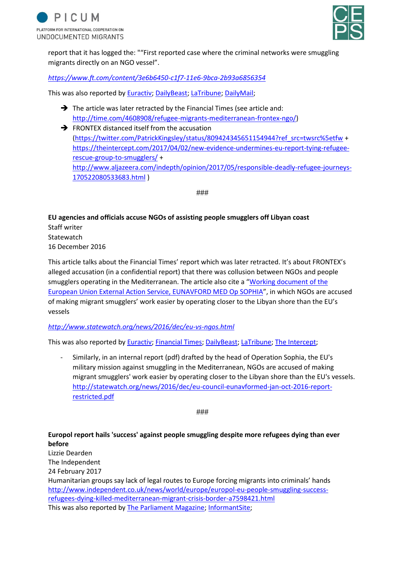



report that it has logged the: ""First reported case where the criminal networks were smuggling migrants directly on an NGO vessel".

### *<https://www.ft.com/content/3e6b6450-c1f7-11e6-9bca-2b93a6856354>*

This was also reported by [Euractiv;](https://www.euractiv.com/section/justice-home-affairs/news/ngos-responsibility-questioned-as-italy-refugee-arrivals-surge/) [DailyBeast;](https://www.thedailybeast.com/eu-links-charities-to-human-traffickers) [LaTribune;](http://www.latribune.fr/economie/international/migrants-frontex-accuse-des-ong-de-collusion-avec-les-passeurs-624900.html) [DailyMail;](http://www.dailymail.co.uk/news/article-4038954/Trafficker-filmed-offering-smuggle-migrants-Britain-Lidl-lorries-5-000-gangs-Paris-Jungle-closed.html)

- $\rightarrow$  The article was later retracted by the Financial Times (see article and: [http://time.com/4608908/refugee-migrants-mediterranean-frontex-ngo/\)](http://time.com/4608908/refugee-migrants-mediterranean-frontex-ngo/)
- $\rightarrow$  FRONTEX distanced itself from the accusation [\(https://twitter.com/PatrickKingsley/status/809424345651154944?ref\\_src=twsrc%5etfw](https://twitter.com/PatrickKingsley/status/809424345651154944?ref_src=twsrc%5etfw) + [https://theintercept.com/2017/04/02/new-evidence-undermines-eu-report-tying-refugee](https://theintercept.com/2017/04/02/new-evidence-undermines-eu-report-tying-refugee-rescue-group-to-smugglers/)[rescue-group-to-smugglers/](https://theintercept.com/2017/04/02/new-evidence-undermines-eu-report-tying-refugee-rescue-group-to-smugglers/) + [http://www.aljazeera.com/indepth/opinion/2017/05/responsible-deadly-refugee-journeys-](http://www.aljazeera.com/indepth/opinion/2017/05/responsible-deadly-refugee-journeys-170522080533683.html)[170522080533683.html](http://www.aljazeera.com/indepth/opinion/2017/05/responsible-deadly-refugee-journeys-170522080533683.html) )

###

**EU agencies and officials accuse NGOs of assisting people smugglers off Libyan coast**

Staff writer **Statewatch** 16 December 2016

This article talks about the Financial Times' report which was later retracted. It's about FRONTEX's alleged accusation (in a confidential report) that there was collusion between NGOs and people smugglers operating in the Mediterranean. The article also cite a "[Working document of the](http://statewatch.org/news/2016/dec/eu-council-eunavformed-jan-oct-2016-report-restricted.pdf)  [European Union External Action Service, EUNAVFORD MED Op SOPHIA](http://statewatch.org/news/2016/dec/eu-council-eunavformed-jan-oct-2016-report-restricted.pdf)", in which NGOs are accused of making migrant smugglers' work easier by operating closer to the Libyan shore than the EU's vessels

*<http://www.statewatch.org/news/2016/dec/eu-vs-ngos.html>*

This was also reported by [Euractiv;](https://www.euractiv.com/section/justice-home-affairs/news/ngos-responsibility-questioned-as-italy-refugee-arrivals-surge/) [Financial Times;](https://www.ft.com/content/3e6b6450-c1f7-11e6-9bca-2b93a6856354) [DailyBeast;](https://www.thedailybeast.com/eu-links-charities-to-human-traffickers) [LaTribune;](http://www.latribune.fr/economie/international/migrants-frontex-accuse-des-ong-de-collusion-avec-les-passeurs-624900.html) [The Intercept;](https://theintercept.com/2017/04/02/new-evidence-undermines-eu-report-tying-refugee-rescue-group-to-smugglers/)

- Similarly, in an internal report (pdf) drafted by the head of Operation Sophia, the EU's military mission against smuggling in the Mediterranean, NGOs are accused of making migrant smugglers' work easier by operating closer to the Libyan shore than the EU's vessels. [http://statewatch.org/news/2016/dec/eu-council-eunavformed-jan-oct-2016-report](http://statewatch.org/news/2016/dec/eu-council-eunavformed-jan-oct-2016-report-restricted.pdf)[restricted.pdf](http://statewatch.org/news/2016/dec/eu-council-eunavformed-jan-oct-2016-report-restricted.pdf)

###

### **Europol report hails 'success' against people smuggling despite more refugees dying than ever before**

Lizzie Dearden The Independent 24 February 2017

Humanitarian groups say lack of legal routes to Europe forcing migrants into criminals' hands [http://www.independent.co.uk/news/world/europe/europol-eu-people-smuggling-success](http://www.independent.co.uk/news/world/europe/europol-eu-people-smuggling-success-refugees-dying-killed-mediterranean-migrant-crisis-border-a7598421.html)[refugees-dying-killed-mediterranean-migrant-crisis-border-a7598421.html](http://www.independent.co.uk/news/world/europe/europol-eu-people-smuggling-success-refugees-dying-killed-mediterranean-migrant-crisis-border-a7598421.html) This was also reported by [The Parliament Magazine;](https://www.theparliamentmagazine.eu/articles/news/refugee-crisis-anti-people-smuggling-efforts-success-says-europol) [InformantSite;](https://informantsite.wordpress.com/2017/02/25/europol-report-hails-success-against-people-smuggling-despite-more-refugees-dying-than-ever-before-humanitarian-groups-say-lack-of-legal-routes-to-europe-forcing-migrants-into-criminals/)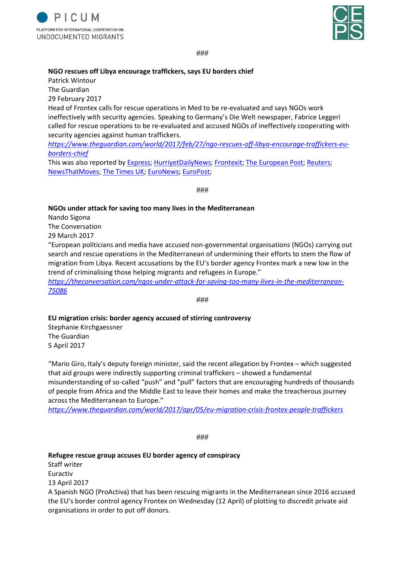



###

#### **NGO rescues off Libya encourage traffickers, says EU borders chief**

Patrick Wintour

The Guardian

29 February 2017

Head of Frontex calls for rescue operations in Med to be re-evaluated and says NGOs work ineffectively with security agencies. Speaking to Germany's Die Welt newspaper, Fabrice Leggeri called for rescue operations to be re-evaluated and accused NGOs of ineffectively cooperating with security agencies against human traffickers.

*[https://www.theguardian.com/world/2017/feb/27/ngo-rescues-off-libya-encourage-traffickers-eu](https://www.theguardian.com/world/2017/feb/27/ngo-rescues-off-libya-encourage-traffickers-eu-borders-chief)[borders-chief](https://www.theguardian.com/world/2017/feb/27/ngo-rescues-off-libya-encourage-traffickers-eu-borders-chief)*

This was also reported by [Express;](https://www.express.co.uk/news/world/773109/Frontex-charities-NGOS-trafficking-migrants-people-smuggling-Fabrice-Leggeri) [HurriyetDailyNews;](http://www.hurriyetdailynews.com/migrant-rescues-off-libya-encourage-traffickers-frontex--110234) [Frontexit;](https://www.frontexit.org/en/news/item/850-ngo-rescues-off-libya-encourage-traffickers-says-eu-borders-chief) [The European Post;](http://europeanpost.co/ngo-rescue-operations-encourage-traffickers-says-eu-borders-chief-but-soros-still-funds-them/) [Reuters;](https://uk.reuters.com/article/uk-europe-migrants-eu-libya/ferry-service-or-humanitarian-rescue-boat-eus-mediterranean-dilemma-idUKKBN1881CQ) [NewsThatMoves;](https://newsthatmoves.org/en/frontex-rescues-encourage-smugglers/) [The Times UK;](https://www.thetimes.co.uk/article/migrants-treat-med-charities-like-a-taxi-service-says-eu-lsvqww6fk) [EuroNews;](http://www.euronews.com/2017/02/27/frontex-boss-criticises-ngo-rescue-operations-in-med) [EuroPost;](http://www.europost.bg/article?id=19086)

###

### **NGOs under attack for saving too many lives in the Mediterranean**

Nando Sigona

The Conversation

29 March 2017

"European politicians and media have accused non-governmental organisations (NGOs) carrying out search and rescue operations in the Mediterranean of undermining their efforts to stem the flow of migration from Libya. Recent accusations by the EU's border agency Frontex mark a new low in the trend of criminalising those helping migrants and refugees in Europe."

*[https://theconversation.com/ngos-under-attack-for-saving-too-many-lives-in-the-mediterranean-](https://theconversation.com/ngos-under-attack-for-saving-too-many-lives-in-the-mediterranean-75086)[75086](https://theconversation.com/ngos-under-attack-for-saving-too-many-lives-in-the-mediterranean-75086)*

###

#### **EU migration crisis: border agency accused of stirring controversy**

Stephanie Kirchgaessner The Guardian 5 April 2017

"Mario Giro, Italy's deputy foreign minister, said the recent allegation by Frontex – which suggested that aid groups were indirectly supporting criminal traffickers – showed a fundamental misunderstanding of so-called "push" and "pull" factors that are encouraging hundreds of thousands of people from Africa and the Middle East to leave their homes and make the treacherous journey across the Mediterranean to Europe."

*<https://www.theguardian.com/world/2017/apr/05/eu-migration-crisis-frontex-people-traffickers>*

###

### **Refugee rescue group accuses EU border agency of conspiracy**

Staff writer Euractiv 13 April 2017

A Spanish NGO (ProActiva) that has been rescuing migrants in the Mediterranean since 2016 accused the EU's border control agency Frontex on Wednesday (12 April) of plotting to discredit private aid organisations in order to put off donors.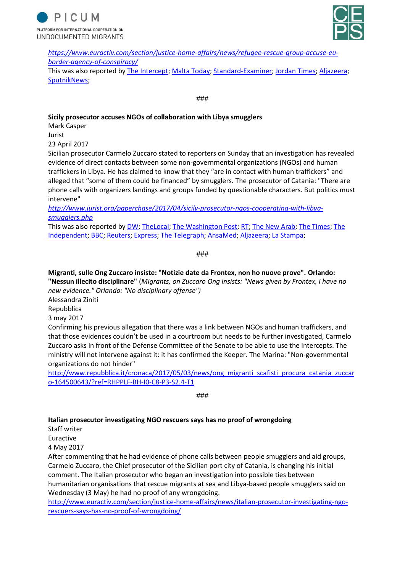



*[https://www.euractiv.com/section/justice-home-affairs/news/refugee-rescue-group-accuse-eu](https://www.euractiv.com/section/justice-home-affairs/news/refugee-rescue-group-accuse-eu-border-agency-of-conspiracy/)[border-agency-of-conspiracy/](https://www.euractiv.com/section/justice-home-affairs/news/refugee-rescue-group-accuse-eu-border-agency-of-conspiracy/)*

This was also reported by [The Intercept;](https://theintercept.com/2017/04/02/new-evidence-undermines-eu-report-tying-refugee-rescue-group-to-smugglers/) [Malta Today;](http://www.maltatoday.com.mt/news/world/76260/migrant_rescue_group_accuses_eu_border_agency_of_conspiracy#.WhwW5oanGUk) [Standard-Examiner;](http://www.standard.net/National/2017/05/02/In-Italy-conspiracy-theories-about-collusion-between-smugglers-and-charities-are-spreading) [Jordan Times;](http://static.jordantimes.com/news/region/migrant-rescuers-accuse-eu-border-agency-conspiracy) [Aljazeera;](http://www.aljazeera.com/indepth/opinion/2017/05/responsible-deadly-refugee-journeys-170522080533683.html) [SputnikNews;](https://sputniknews.com/europe/201704051052323673-ngos-refugee-smuggling-allegations/)

###

### **Sicily prosecutor accuses NGOs of collaboration with Libya smugglers**

Mark Casper Jurist 23 April 2017

Sicilian prosecutor Carmelo Zuccaro stated to reporters on Sunday that an investigation has revealed evidence of direct contacts between some non-governmental organizations (NGOs) and human traffickers in Libya. He has claimed to know that they "are in contact with human traffickers" and alleged that "some of them could be financed" by smugglers. The prosecutor of Catania: "There are phone calls with organizers landings and groups funded by questionable characters. But politics must intervene"

*[http://www.jurist.org/paperchase/2017/04/sicily-prosecutor-ngos-cooperating-with-libya](http://www.jurist.org/paperchase/2017/04/sicily-prosecutor-ngos-cooperating-with-libya-smugglers.php)[smugglers.php](http://www.jurist.org/paperchase/2017/04/sicily-prosecutor-ngos-cooperating-with-libya-smugglers.php)*

This was also reported by [DW;](http://www.dw.com/en/italy-prosecutor-claims-ngos-working-with-human-smugglers/a-38554753) [TheLocal;](https://www.thelocal.it/20170424/italy-prosecutor-labels-charity-rescue-boats-smugglers-taxis) [The Washington Post;](https://www.washingtonpost.com/news/worldviews/wp/2017/05/02/in-italy-conspiracy-theories-about-collusion-between-smugglers-and-charities-rescuing-migrants-are-spreading/?utm_term=.1e2b4a7d7fe4) [RT;](https://www.rt.com/news/386747-italian-foreign-minister-migrant-ngos/) [The New Arab;](https://www.alaraby.co.uk/english/news/2017/4/24/ngos-accused-of-colluding-with-libya-human-traffickers) [The Times;](https://www.thetimes.co.uk/article/migrant-rescue-boats-collude-with-traffickers-kv6n8wjl3) [The](http://www.independent.co.uk/news/world/europe/refugee-boat-rescue-charities-medicins-sans-frontieres-save-the-children-mediterranean-sea-migrants-a7699571.html)  [Independent;](http://www.independent.co.uk/news/world/europe/refugee-boat-rescue-charities-medicins-sans-frontieres-save-the-children-mediterranean-sea-migrants-a7699571.html) [BBC;](http://www.bbc.com/news/world-europe-39686239) [Reuters;](https://www.reuters.com/article/us-europe-migrants-italy-ngos/italy-investigating-some-migrant-aid-workers-for-people-smuggling-idUSKBN1862BI) [Express;](https://www.express.co.uk/news/world/798973/Angelino-Alfano-Carmelo-Zuccaro-Matteo-Salvini-Andrea-Orlando-Migrants-EU-crisis) [The Telegraph;](http://www.telegraph.co.uk/news/2017/04/23/italy-prosecutor-says-rescue-boats-contact-people-smugglers/) [AnsaMed;](http://www.ansamed.info/ansamed/en/news/nations/libya/2017/04/27/traffickers-may-pay-some-ngos-posits-catania-prosecutor_d0b8d1dc-3ef6-4e91-9d9d-612e6aaa1489.html) [Aljazeera;](http://www.aljazeera.com/indepth/opinion/2017/05/responsible-deadly-refugee-journeys-170522080533683.html) [La Stampa;](http://www.lastampa.it/2017/04/23/italia/cronache/abbiamo-le-prove-dei-contatti-tra-scafisti-e-alcuni-soccorritori-3fCnqLKWWRHBVUiygHv65K/pagina.html)

###

**Migranti, sulle Ong Zuccaro insiste: "Notizie date da Frontex, non ho nuove prove". Orlando: "Nessun illecito disciplinare"** (*Migrants, on Zuccaro Ong insists: "News given by Frontex, I have no new evidence." Orlando: "No disciplinary offense")*

Alessandra Ziniti

Repubblica

3 may 2017

Confirming his previous allegation that there was a link between NGOs and human traffickers, and that those evidences couldn't be used in a courtroom but needs to be further investigated, Carmelo Zuccaro asks in front of the Defense Committee of the Senate to be able to use the intercepts. The ministry will not intervene against it: it has confirmed the Keeper. The Marina: "Non-governmental organizations do not hinder"

[http://www.repubblica.it/cronaca/2017/05/03/news/ong\\_migranti\\_scafisti\\_procura\\_catania\\_zuccar](http://www.repubblica.it/cronaca/2017/05/03/news/ong_migranti_scafisti_procura_catania_zuccaro-164500643/?ref=RHPPLF-BH-I0-C8-P3-S2.4-T1) [o-164500643/?ref=RHPPLF-BH-I0-C8-P3-S2.4-T1](http://www.repubblica.it/cronaca/2017/05/03/news/ong_migranti_scafisti_procura_catania_zuccaro-164500643/?ref=RHPPLF-BH-I0-C8-P3-S2.4-T1)

###

#### **Italian prosecutor investigating NGO rescuers says has no proof of wrongdoing**

Staff writer

Euractive

4 May 2017

After commenting that he had evidence of phone calls between people smugglers and aid groups, Carmelo Zuccaro, the Chief prosecutor of the Sicilian port city of Catania, is changing his initial comment. The Italian prosecutor who began an investigation into possible ties between humanitarian organisations that rescue migrants at sea and Libya-based people smugglers said on Wednesday (3 May) he had no proof of any wrongdoing.

[http://www.euractiv.com/section/justice-home-affairs/news/italian-prosecutor-investigating-ngo](http://www.euractiv.com/section/justice-home-affairs/news/italian-prosecutor-investigating-ngo-rescuers-says-has-no-proof-of-wrongdoing/)[rescuers-says-has-no-proof-of-wrongdoing/](http://www.euractiv.com/section/justice-home-affairs/news/italian-prosecutor-investigating-ngo-rescuers-says-has-no-proof-of-wrongdoing/)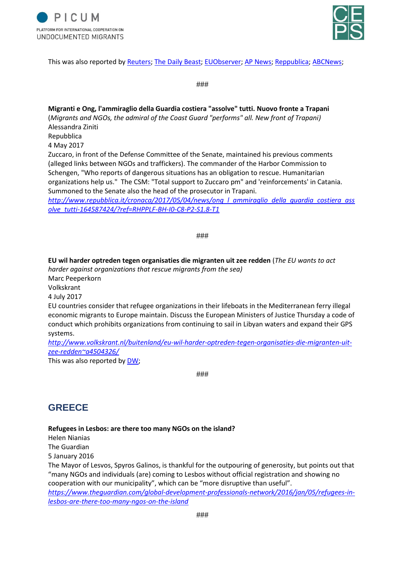



This was also reported by [Reuters;](https://www.reuters.com/article/us-europe-migrants-italy-ngo/italy-prosecutor-investigating-ngo-rescuers-says-has-no-proof-of-wrongdoing-idUSKBN17Z260) [The Daily Beast;](https://www.thedailybeast.com/italian-prosecutor-i-cant-prove-migrant-rescuers-are-colluding-with-traffickers) [EUObserver;](https://euobserver.com/migration/138160) [AP News;](https://apnews.com/9bba6d3dacee413183cd48a726d7c34d) [Reppublica;](http://www.repubblica.it/politica/2017/04/28/news/carmelo_zuccaro_denuncio_non_ho_prove_sta_ai_politici_fermare_il_fenomeno_-164101452/) [ABCNews;](http://abcnews.go.com/amp/International/wireStory/italian-prosecutor-ngos-migrant-smuggler-links-emerge-47153010)

###

**Migranti e Ong, l'ammiraglio della Guardia costiera "assolve" tutti. Nuovo fronte a Trapani** (*Migrants and NGOs, the admiral of the Coast Guard "performs" all. New front of Trapani)* Alessandra Ziniti Repubblica 4 May 2017 Zuccaro, in front of the Defense Committee of the Senate, maintained his previous comments (alleged links between NGOs and traffickers). The commander of the Harbor Commission to Schengen, "Who reports of dangerous situations has an obligation to rescue. Humanitarian

organizations help us." The CSM: "Total support to Zuccaro pm" and 'reinforcements' in Catania. Summoned to the Senate also the head of the prosecutor in Trapani.

*[http://www.repubblica.it/cronaca/2017/05/04/news/ong\\_l\\_ammiraglio\\_della\\_guardia\\_costiera\\_ass](http://www.repubblica.it/cronaca/2017/05/04/news/ong_l_ammiraglio_della_guardia_costiera_assolve_tutti-164587424/?ref=RHPPLF-BH-I0-C8-P2-S1.8-T1) [olve\\_tutti-164587424/?ref=RHPPLF-BH-I0-C8-P2-S1.8-T1](http://www.repubblica.it/cronaca/2017/05/04/news/ong_l_ammiraglio_della_guardia_costiera_assolve_tutti-164587424/?ref=RHPPLF-BH-I0-C8-P2-S1.8-T1)*

###

**EU wil harder optreden tegen organisaties die migranten uit zee redden** (*The EU wants to act harder against organizations that rescue migrants from the sea)* Marc Peeperkorn Volkskrant

4 July 2017

EU countries consider that refugee organizations in their lifeboats in the Mediterranean ferry illegal economic migrants to Europe maintain. Discuss the European Ministers of Justice Thursday a code of conduct which prohibits organizations from continuing to sail in Libyan waters and expand their GPS systems.

*[http://www.volkskrant.nl/buitenland/eu-wil-harder-optreden-tegen-organisaties-die-migranten-uit](http://www.volkskrant.nl/buitenland/eu-wil-harder-optreden-tegen-organisaties-die-migranten-uit-zee-redden~a4504326/)[zee-redden~a4504326/](http://www.volkskrant.nl/buitenland/eu-wil-harder-optreden-tegen-organisaties-die-migranten-uit-zee-redden~a4504326/)*

This was also reported by [DW;](http://www.dw.com/en/eu-backs-italy-in-stand-off-with-ngos-over-refugee-rescue/a-39546570)

###

# **GREECE**

### **Refugees in Lesbos: are there too many NGOs on the island?**

Helen Nianias The Guardian 5 January 2016

The Mayor of Lesvos, Spyros Galinos, is thankful for the outpouring of generosity, but points out that "many NGOs and individuals (are) coming to Lesbos without official registration and showing no cooperation with our municipality", which can be "more disruptive than useful".

*[https://www.theguardian.com/global-development-professionals-network/2016/jan/05/refugees-in](https://www.theguardian.com/global-development-professionals-network/2016/jan/05/refugees-in-lesbos-are-there-too-many-ngos-on-the-island)[lesbos-are-there-too-many-ngos-on-the-island](https://www.theguardian.com/global-development-professionals-network/2016/jan/05/refugees-in-lesbos-are-there-too-many-ngos-on-the-island)*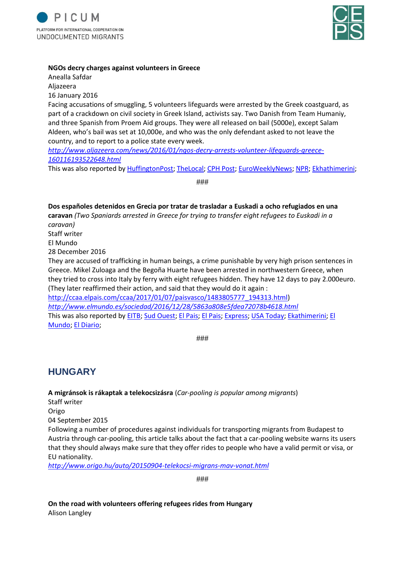



#### **NGOs decry charges against volunteers in Greece**

Anealla Safdar Aljazeera 16 January 2016 Facing accusations of smuggling, 5 volunteers lifeguards were arrested by the Greek coastguard, as part of a crackdown on civil society in Greek Island, activists say. Two Danish from Team Humaniy, and three Spanish from Proem Aid groups. They were all released on bail (5000e), except Salam Aldeen, who's bail was set at 10,000e, and who was the only defendant asked to not leave the country, and to report to a police state every week. *[http://www.aljazeera.com/news/2016/01/ngos-decry-arrests-volunteer-lifeguards-greece-](http://www.aljazeera.com/news/2016/01/ngos-decry-arrests-volunteer-lifeguards-greece-160116193522648.html)[160116193522648.html](http://www.aljazeera.com/news/2016/01/ngos-decry-arrests-volunteer-lifeguards-greece-160116193522648.html)* This was also reported by [HuffingtonPost;](https://www.huffingtonpost.com/entry/greece-volunteers-arrested-lesbos_us_56b37bdde4b01d80b2454c6f) [TheLocal;](https://www.thelocal.dk/20160118/danes-cleared-of-trafficking-charges-in-greece) [CPH Post;](http://cphpost.dk/news/two-danish-aid-workers-charged-with-human-trafficking-in-greece.html) [EuroWeeklyNews;](https://www.euroweeklynews.com/3.0.15/news/on-euro-weekly-news/spain-news-in-english/136474-volunteer-aid-workers-returned-to-spain-after-nightmare-in-greek-jail) [NPR;](https://www.npr.org/2016/01/18/463446334/greece-cracks-down-on-volunteers-aiding-migrants) [Ekhathimerini;](http://www.ekathimerini.com/205066/article/ekathimerini/news/greece-holds-alleged-spanish-lifeguards-over-migrant-trafficking)

###

**Dos españoles detenidos en Grecia por tratar de trasladar a Euskadi a ocho refugiados en una caravan** *(Two Spaniards arrested in Greece for trying to transfer eight refugees to Euskadi in a caravan)* Staff writer El Mundo 28 December 2016 They are accused of trafficking in human beings, a crime punishable by very high prison sentences in Greece. Mikel Zuloaga and the Begoña Huarte have been arrested in northwestern Greece, when they tried to cross into Italy by ferry with eight refugees hidden. They have 12 days to pay 2.000euro. (They later reaffirmed their action, and said that they would do it again : [http://ccaa.elpais.com/ccaa/2017/01/07/paisvasco/1483805777\\_194313.html\)](http://ccaa.elpais.com/ccaa/2017/01/07/paisvasco/1483805777_194313.html) *<http://www.elmundo.es/sociedad/2016/12/28/5863a808e5fdea72078b4618.html>* This was also reported by [EITB;](http://www.eitb.eus/es/noticias/sociedad/detalle/4568757/mikel-zuluaga-begona-huarte-quedan-libertad-fianza/) [Sud Ouest;](http://www.sudouest.fr/2016/12/28/deux-basques-espagnols-interpelles-en-grece-pour-avoir-transportes-clandestinement-huit-migrants-3062243-4018.php) [El Pais;](https://politica.elpais.com/politica/2016/12/30/actualidad/1483099973_542022.html) [El Pais;](https://elpais.com/elpais/2016/12/29/inenglish/1483006400_033827.html) [Express;](https://www.express.co.uk/news/world/748478/Spanish-activists-face-jail-smuggling-migrants-Europe-Greece) [USA Today;](https://www.usatoday.com/story/news/world/2017/02/09/greece-refugees-europeans/97093410/) [Ekathimerini;](http://www.ekathimerini.com/214906/article/ekathimerini/news/spaniards-held-in-greece-for-refugee-smuggling-attempt) [El](http://www.elmundo.es/sociedad/2016/12/28/5863a808e5fdea72078b4618.html)  [Mundo;](http://www.elmundo.es/sociedad/2016/12/28/5863a808e5fdea72078b4618.html) [El Diario;](http://www.eldiario.es/norte/euskadi/refugiados-activistas-Grecia-Harrera_Solidarioa-detenciones_0_595640567.html)

###

### **HUNGARY**

**A migránsok is rákaptak a telekocsizásra** (*Car-pooling is popular among migrants*) Staff writer Origo 04 September 2015 Following a number of procedures against individuals for transporting migrants from Budapest to Austria through car-pooling, this article talks about the fact that a car-pooling website warns its users that they should always make sure that they offer rides to people who have a valid permit or visa, or EU nationality.

*<http://www.origo.hu/auto/20150904-telekocsi-migrans-mav-vonat.html>*

###

**On the road with volunteers offering refugees rides from Hungary** Alison Langley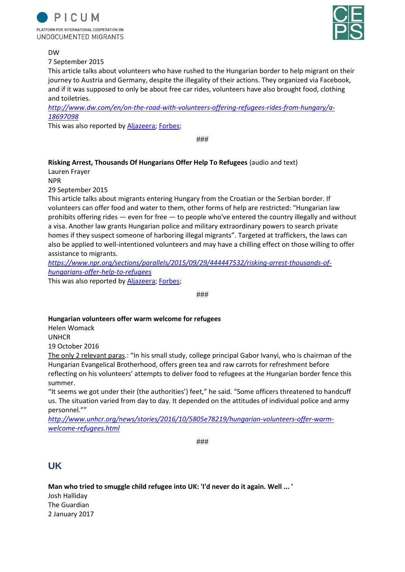



#### DW

7 September 2015

This article talks about volunteers who have rushed to the Hungarian border to help migrant on their journey to Austria and Germany, despite the illegality of their actions. They organized via Facebook, and if it was supposed to only be about free car rides, volunteers have also brought food, clothing and toiletries.

*[http://www.dw.com/en/on-the-road-with-volunteers-offering-refugees-rides-from-hungary/a-](http://www.dw.com/en/on-the-road-with-volunteers-offering-refugees-rides-from-hungary/a-18697098)[18697098](http://www.dw.com/en/on-the-road-with-volunteers-offering-refugees-rides-from-hungary/a-18697098)*

This was also reported by [Aljazeera;](http://america.aljazeera.com/articles/2015/9/5/volunteers-defy-hostile-leaders-to-welcome-refugees-to-europe.html) [Forbes;](https://www.forbes.com/sites/forbesinternational/2015/10/08/helping-hungarys-syrian-refugees-powered-by-facebook/#58577b024ff7)

###

#### **Risking Arrest, Thousands Of Hungarians Offer Help To Refugees** (audio and text)

Lauren Frayer

NPR

29 September 2015

This article talks about migrants entering Hungary from the Croatian or the Serbian border. If volunteers can offer food and water to them, other forms of help are restricted: "Hungarian law prohibits offering rides — even for free — to people who've entered the country illegally and without a visa. Another law grants Hungarian police and military extraordinary powers to search private homes if they suspect someone of harboring illegal migrants". Targeted at traffickers, the laws can also be applied to well-intentioned volunteers and may have a chilling effect on those willing to offer assistance to migrants.

*[https://www.npr.org/sections/parallels/2015/09/29/444447532/risking-arrest-thousands-of](https://www.npr.org/sections/parallels/2015/09/29/444447532/risking-arrest-thousands-of-hungarians-offer-help-to-refugees)[hungarians-offer-help-to-refugees](https://www.npr.org/sections/parallels/2015/09/29/444447532/risking-arrest-thousands-of-hungarians-offer-help-to-refugees)*

This was also reported by [Aljazeera;](http://america.aljazeera.com/articles/2015/9/5/volunteers-defy-hostile-leaders-to-welcome-refugees-to-europe.html) [Forbes;](https://www.forbes.com/sites/forbesinternational/2015/10/08/helping-hungarys-syrian-refugees-powered-by-facebook/#58577b024ff7)

###

#### **Hungarian volunteers offer warm welcome for refugees**

Helen Womack UNHCR 19 October 2016

The only 2 relevant paras.: "In his small study, college principal Gabor Ivanyi, who is chairman of the Hungarian Evangelical Brotherhood, offers green tea and raw carrots for refreshment before reflecting on his volunteers' attempts to deliver food to refugees at the Hungarian border fence this summer.

"It seems we got under their (the authorities') feet," he said. "Some officers threatened to handcuff us. The situation varied from day to day. It depended on the attitudes of individual police and army personnel.""

*[http://www.unhcr.org/news/stories/2016/10/5805e78219/hungarian-volunteers-offer-warm](http://www.unhcr.org/news/stories/2016/10/5805e78219/hungarian-volunteers-offer-warm-welcome-refugees.html)[welcome-refugees.html](http://www.unhcr.org/news/stories/2016/10/5805e78219/hungarian-volunteers-offer-warm-welcome-refugees.html)*

###

### **UK**

**Man who tried to smuggle child refugee into UK: 'I'd never do it again. Well ... '** Josh Halliday The Guardian 2 January 2017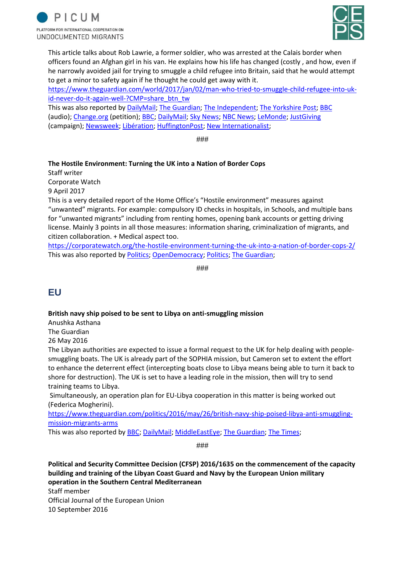



This article talks about Rob Lawrie, a former soldier, who was arrested at the Calais border when officers found an Afghan girl in his van. He explains how his life has changed (costly , and how, even if he narrowly avoided jail for trying to smuggle a child refugee into Britain, said that he would attempt to get a minor to safety again if he thought he could get away with it.

[https://www.theguardian.com/world/2017/jan/02/man-who-tried-to-smuggle-child-refugee-into-uk](https://www.theguardian.com/world/2017/jan/02/man-who-tried-to-smuggle-child-refugee-into-uk-id-never-do-it-again-well-?CMP=share_btn_tw)[id-never-do-it-again-well-?CMP=share\\_btn\\_tw](https://www.theguardian.com/world/2017/jan/02/man-who-tried-to-smuggle-child-refugee-into-uk-id-never-do-it-again-well-?CMP=share_btn_tw)

This was also reported by [DailyMail;](http://www.dailymail.co.uk/news/article-3399067/Former-soldier-tried-smuggle-four-year-old-Afghan-girl-Calais-migrant-camp-Britain-appears-court.html) [The Guardian;](https://www.theguardian.com/uk-news/2016/jan/14/former-soldier-court-smuggle-child-refugee) [The Independent;](http://www.independent.co.uk/news/uk/home-news/rob-lawrie-former-soldier-who-smuggled-afghan-girl-out-of-calais-refugee-camp-spared-jail-a6813121.html) [The Yorkshire Post;](https://www.yorkshirepost.co.uk/news/rob-lawrie-why-i-tried-to-smuggle-four-year-old-afghan-refugee-out-of-calais-jungle-1-8482983) [BBC](http://www.bbc.co.uk/programmes/p04n60wf) (audio); [Change.org](https://www.change.org/p/french-and-uk-authorities-free-rob-lawrie) (petition); [BBC;](http://www.bbc.com/news/uk-england-leeds-35312424) [DailyMail;](http://www.dailymail.co.uk/news/article-3387942/British-ex-soldier-regrets-trying-smuggle-Afghan-girl-Calais-Jungle.html) [Sky News;](https://news.sky.com/story/rob-lawrie-what-motivated-calais-aid-worker-10129960) [NBC News;](https://www.nbcnews.com/storyline/europes-border-crisis/rob-lawrie-goes-trial-france-helping-migrant-girl-bahar-ahmadi-n496331) [LeMonde;](http://www.lemonde.fr/police-justice/article/2016/01/14/un-anglais-juge-pour-delit-de-solidarite_4846848_1653578.html) [JustGiving](https://www.justgiving.com/crowdfunding/jim-innes-1) (campaign); [Newsweek;](http://www.newsweek.com/rob-lawrie-spared-jail-calais-refugees-415804) [Libération;](http://www.liberation.fr/france/2016/01/13/rob-lawrie-je-ne-voulais-pas-qu-une-petite-afghane-passe-l-hiver-dans-la-jungle-de-calais_1426237) [HuffingtonPost;](http://www.huffingtonpost.co.uk/2016/01/10/rob-lawrie-refugee-girl-bahar-jail_n_8948422.html) [New Internationalist;](https://newint.org/blog/2016/11/04/crimes-of-compassion-for-refugee-solidarity)

###

### **The Hostile Environment: Turning the UK into a Nation of Border Cops**

Staff writer

Corporate Watch

9 April 2017

This is a very detailed report of the Home Office's "Hostile environment" measures against "unwanted" migrants. For example: compulsory ID checks in hospitals, in Schools, and multiple bans for "unwanted migrants" including from renting homes, opening bank accounts or getting driving license. Mainly 3 points in all those measures: information sharing, criminalization of migrants, and citizen collaboration. + Medical aspect too.

<https://corporatewatch.org/the-hostile-environment-turning-the-uk-into-a-nation-of-border-cops-2/> This was also reported by [Politics;](http://www.politics.co.uk/comment-analysis/2017/09/25/theresa-may-s-hostile-environment-turns-doctors-into-immigra) [OpenDemocracy;](https://www.opendemocracy.net/ournhs/docs-not-cops/labour-must-tackle-may-s-hostile-environment-for-migrants-in-nhs) [Politics;](http://www.politics.co.uk/comment-analysis/2017/09/11/how-may-turned-britain-into-a-surveillance-society) [The Guardian;](https://www.theguardian.com/commentisfree/2017/aug/22/homelessness-charities-target-migrants-deportation)

###

### **EU**

#### **British navy ship poised to be sent to Libya on anti-smuggling mission**

Anushka Asthana

The Guardian

26 May 2016

The Libyan authorities are expected to issue a formal request to the UK for help dealing with peoplesmuggling boats. The UK is already part of the SOPHIA mission, but Cameron set to extent the effort to enhance the deterrent effect (intercepting boats close to Libya means being able to turn it back to shore for destruction). The UK is set to have a leading role in the mission, then will try to send training teams to Libya.

Simultaneously, an operation plan for EU-Libya cooperation in this matter is being worked out (Federica Mogherini).

[https://www.theguardian.com/politics/2016/may/26/british-navy-ship-poised-libya-anti-smuggling](https://www.theguardian.com/politics/2016/may/26/british-navy-ship-poised-libya-anti-smuggling-mission-migrants-arms)[mission-migrants-arms](https://www.theguardian.com/politics/2016/may/26/british-navy-ship-poised-libya-anti-smuggling-mission-migrants-arms)

This was also reported by [BBC;](http://www.bbc.com/news/uk-36394597) [DailyMail;](http://www.dailymail.co.uk/news/article-3611805/Royal-Navy-ship-patrol-coast-Libya-battle-against-ISIS-arms-smugglers-dramatic-escalation-British-role.html) [MiddleEastEye;](http://www.middleeasteye.net/news/uk-prepares-send-warship-tackle-libya-refugee-crisis-859462691) [The Guardian;](https://www.theguardian.com/politics/2016/sep/03/uk-warship-to-tackle-libya-people-smugglers) [The Times;](https://www.thetimes.co.uk/article/navy-warship-to-intercept-refugee-boats-gzjzh3frt)

###

**Political and Security Committee Decision (CFSP) 2016/1635 on the commencement of the capacity building and training of the Libyan Coast Guard and Navy by the European Union military operation in the Southern Central Mediterranean** Staff member Official Journal of the European Union

10 September 2016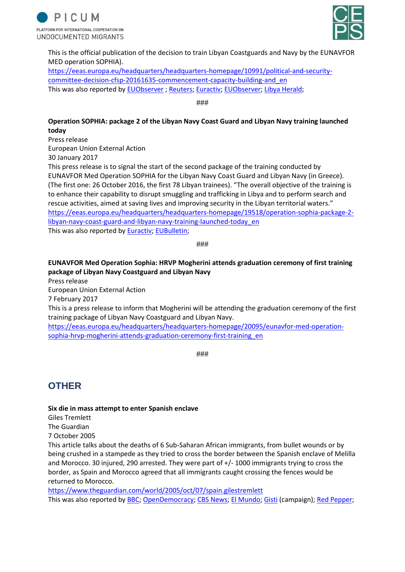



This is the official publication of the decision to train Libyan Coastguards and Navy by the EUNAVFOR MED operation SOPHIA).

[https://eeas.europa.eu/headquarters/headquarters-homepage/10991/political-and-security](https://eeas.europa.eu/headquarters/headquarters-homepage/10991/political-and-security-committee-decision-cfsp-20161635-commencement-capacity-building-and_en)[committee-decision-cfsp-20161635-commencement-capacity-building-and\\_en](https://eeas.europa.eu/headquarters/headquarters-homepage/10991/political-and-security-committee-decision-cfsp-20161635-commencement-capacity-building-and_en) This was also reported by [EUObserver](https://euobserver.com/migration/133523) ; [Reuters;](https://uk.reuters.com/article/uk-europe-migrants-italy/eu-to-continue-libyan-coast-guard-training-after-attack-on-migrants-idUKKCN12O1IE) [Euractiv;](https://www.euractiv.com/section/med-south/news/eu-training-libyan-coast-guard-to-curb-refugee-flows/) [EUObserver;](https://euobserver.com/foreign/134732) [Libya Herald;](https://www.libyaherald.com/2016/08/24/eu-to-train-libyan-seamen-to-tackle-people-smugglers/)

###

### **Operation SOPHIA: package 2 of the Libyan Navy Coast Guard and Libyan Navy training launched today**

Press release

European Union External Action

30 January 2017

This press release is to signal the start of the second package of the training conducted by EUNAVFOR Med Operation SOPHIA for the Libyan Navy Coast Guard and Libyan Navy (in Greece). (The first one: 26 October 2016, the first 78 Libyan trainees). "The overall objective of the training is to enhance their capability to disrupt smuggling and trafficking in Libya and to perform search and rescue activities, aimed at saving lives and improving security in the Libyan territorial waters." [https://eeas.europa.eu/headquarters/headquarters-homepage/19518/operation-sophia-package-2](https://eeas.europa.eu/headquarters/headquarters-homepage/19518/operation-sophia-package-2-libyan-navy-coast-guard-and-libyan-navy-training-launched-today_en) [libyan-navy-coast-guard-and-libyan-navy-training-launched-today\\_en](https://eeas.europa.eu/headquarters/headquarters-homepage/19518/operation-sophia-package-2-libyan-navy-coast-guard-and-libyan-navy-training-launched-today_en) This was also reported by [Euractiv;](https://www.euractiv.com/section/global-europe/news/eu-boosts-libya-coastguard-training-to-stem-migrant-flow/) [EUBulletin;](http://www.eubulletin.com/6572-sophia-2-to-keep-europe-safer-eu-training-libyan-coast-guards.html)

###

### **EUNAVFOR Med Operation Sophia: HRVP Mogherini attends graduation ceremony of first training package of Libyan Navy Coastguard and Libyan Navy**

Press release European Union External Action 7 February 2017 This is a press release to inform that Mogherini will be attending the graduation ceremony of the first training package of Libyan Navy Coastguard and Libyan Navy. [https://eeas.europa.eu/headquarters/headquarters-homepage/20095/eunavfor-med-operation-](https://eeas.europa.eu/headquarters/headquarters-homepage/20095/eunavfor-med-operation-sophia-hrvp-mogherini-attends-graduation-ceremony-first-training_en)

###

### **OTHER**

#### **Six die in mass attempt to enter Spanish enclave**

[sophia-hrvp-mogherini-attends-graduation-ceremony-first-training\\_en](https://eeas.europa.eu/headquarters/headquarters-homepage/20095/eunavfor-med-operation-sophia-hrvp-mogherini-attends-graduation-ceremony-first-training_en)

Giles Tremlett The Guardian 7 October 2005

This article talks about the deaths of 6 Sub-Saharan African immigrants, from bullet wounds or by being crushed in a stampede as they tried to cross the border between the Spanish enclave of Melilla and Morocco. 30 injured, 290 arrested. They were part of +/- 1000 immigrants trying to cross the border, as Spain and Morocco agreed that all immigrants caught crossing the fences would be returned to Morocco.

<https://www.theguardian.com/world/2005/oct/07/spain.gilestremlett> This was also reported by [BBC;](http://news.bbc.co.uk/2/hi/4316702.stm) [OpenDemocracy;](https://www.opendemocracy.net/people-migrationeurope/melilla_2905.jsp) [CBS News;](https://www.cbsnews.com/news/six-killed-in-morocco-clash/) [El Mundo;](http://www.elmundo.es/elmundo/2005/10/06/espana/1128613403.html) [Gisti](http://www.gisti.org/doc/actions/2005/ceuta-melilla/index.html) (campaign); [Red Pepper;](http://www.redpepper.org.uk/Ceuta-and-Melilla-Europe-s-wall-of/)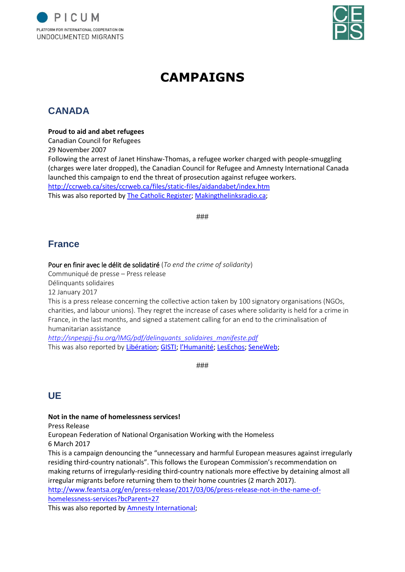



# **CAMPAIGNS**

# **CANADA**

### **Proud to aid and abet refugees**

Canadian Council for Refugees 29 November 2007

Following the arrest of Janet Hinshaw-Thomas, a refugee worker charged with people-smuggling (charges were later dropped), the Canadian Council for Refugee and Amnesty International Canada launched this campaign to end the threat of prosecution against refugee workers. <http://ccrweb.ca/sites/ccrweb.ca/files/static-files/aidandabet/index.htm> This was also reported by [The Catholic Register;](https://www.catholicregister.org/item/8327-campaign-launched-to-aid-and-abet-refugees) [Makingthelinksradio.ca;](http://www.makingthelinksradio.ca/index.php?option=com_content&task=view&id=145&Itemid=34)

###

## **France**

### Pour en finir avec le délit de solidatiré (*To end the crime of solidarity*)

Communiqué de presse – Press release

Délinquants solidaires

12 January 2017

This is a press release concerning the collective action taken by 100 signatory organisations (NGOs, charities, and labour unions). They regret the increase of cases where solidarity is held for a crime in France, in the last months, and signed a statement calling for an end to the criminalisation of humanitarian assistance

*[http://snpespjj-fsu.org/IMG/pdf/delinquants\\_solidaires\\_manifeste.pdf](http://snpespjj-fsu.org/IMG/pdf/delinquants_solidaires_manifeste.pdf)* This was also reported by [Libération;](http://www.liberation.fr/direct/element/un-manifeste-pour-en-finir-avec-le-delit-de-solidarite_55810/) [GISTI;](http://www.gisti.org/spip.php?article5605) [l'Humanité](https://www.humanite.fr/manifeste-pour-en-finir-avec-le-delit-de-solidarite-630271); [LesEchos;](https://www.lesechos.fr/16/01/2017/LesEchos/22362-051-ECH_migrants---un-manifeste---pour-en-finir-avec-le-delit-de-solidarite--.htm) [SeneWeb;](http://seneweb.com/news/Immigration/un-manifeste-quot-pour-en-finir-avec-le-_n_204786.html)

###

### **UE**

### **Not in the name of homelessness services!**

Press Release

European Federation of National Organisation Working with the Homeless

6 March 2017

This is a campaign denouncing the "unnecessary and harmful European measures against irregularly residing third-country nationals". This follows the European Commission's recommendation on making returns of irregularly-residing third-country nationals more effective by detaining almost all irregular migrants before returning them to their home countries (2 march 2017).

[http://www.feantsa.org/en/press-release/2017/03/06/press-release-not-in-the-name-of](http://www.feantsa.org/en/press-release/2017/03/06/press-release-not-in-the-name-of-homelessness-services?bcParent=27)[homelessness-services?bcParent=27](http://www.feantsa.org/en/press-release/2017/03/06/press-release-not-in-the-name-of-homelessness-services?bcParent=27)

This was also reported by **Amnesty International**;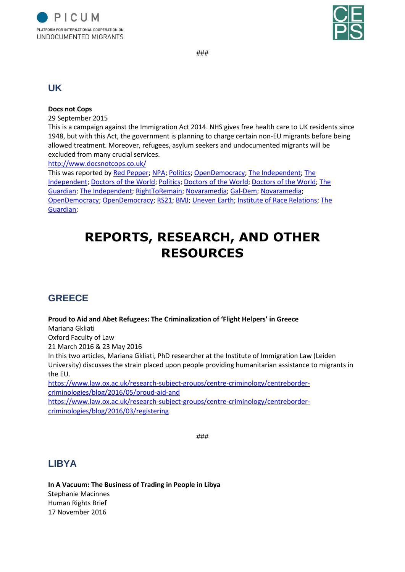



###

### **UK**

### **Docs not Cops**

29 September 2015

This is a campaign against the Immigration Act 2014. NHS gives free health care to UK residents since 1948, but with this Act, the government is planning to charge certain non-EU migrants before being allowed treatment. Moreover, refugees, asylum seekers and undocumented migrants will be excluded from many crucial services.

<http://www.docsnotcops.co.uk/>

This was reported b[y Red Pepper;](http://www.redpepper.org.uk/defend-migrants-access-to-the-ns/) [NPA;](https://npa2009.org/idees/international/docs-not-cops-un-collectif-britannique-contre-les-discriminations-dans-la-sante) [Politics;](http://www.politics.co.uk/comment-analysis/2017/09/25/theresa-may-s-hostile-environment-turns-doctors-into-immigra) [OpenDemocracy;](https://www.opendemocracy.net/ournhs/docs-not-cops/labour-must-tackle-may-s-hostile-environment-for-migrants-in-nhs) [The Independent;](http://www.independent.co.uk/news/uk/home-news/sick-schoolchildren-and-women-seeking-abortions-could-be-denied-healthcare-under-new-rules-a7957081.html) [The](http://www.independent.co.uk/news/uk/home-news/nhs-letter-newborn-baby-eight-day-old-identity-documents-free-healthcare-right-violet-nik-horne-a7955211.html)  [Independent;](http://www.independent.co.uk/news/uk/home-news/nhs-letter-newborn-baby-eight-day-old-identity-documents-free-healthcare-right-violet-nik-horne-a7955211.html) [Doctors of the World;](https://www.doctorsoftheworld.org.uk/news/the-uks-charity-workers-should-not-be-forced-to-be-proxy-border-guards) [Politics;](http://www.politics.co.uk/news/2017/09/19/school-nurses-could-be-forced-to-deny-migrant-children-treat) [Doctors of the World;](https://www.doctorsoftheworld.org.uk/news/stopsharing-campaign-how-a-simple-form-can-make-people-too-scared-to-see-doctor) [Doctors of the World;](https://www.doctorsoftheworld.org.uk/news/pregnant-women-should-never-be-frightened-away-from-antenatal-care) [The](https://www.theguardian.com/commentisfree/2017/apr/07/passport-checks-patients-nhs-principles-health-tourists?CMP=share_btn_tw)  [Guardian;](https://www.theguardian.com/commentisfree/2017/apr/07/passport-checks-patients-nhs-principles-health-tourists?CMP=share_btn_tw) [The Independent;](http://www.independent.co.uk/voices/nhs-immigration-debt-pregnant-women-is-dont-pay-their-debts-a7672006.html) [RightToRemain;](http://www.righttoremain.org.uk/blog/docs-not-cops-take-action-against-border-enforcement-in-the-nhs/) [Novaramedia;](http://novaramedia.com/2017/04/06/no-patient-is-illegal-fighting-borders-in-the-nhs/) [Gal-Dem;](http://www.gal-dem.com/docs-not-cops-new-policy-transforms-nhs-workers-border-guards/) [Novaramedia;](http://novaramedia.com/2016/08/19/treat-dont-police-fighting-the-immigration-act-in-the-nhs/) [OpenDemocracy;](https://www.opendemocracy.net/ournhs/ruth-atkinson/treat-dont-police) [OpenDemocracy;](https://www.opendemocracy.net/ournhs/ruth-atkinson/brexit-and-nhs-we-need-to-fight-racist-discourse) [RS21;](https://rs21.org.uk/2016/06/25/bma-votes-against-charges-for-migrants/) [BMJ;](http://www.bmj.com/content/352/bmj.i685/rr) [Uneven Earth;](http://unevenearth.org/2016/03/docs-not-cops/) [Institute of Race Relations;](http://www.irr.org.uk/news/immigration-act-2014-and-the-slow-dismantling-of-the-nhs/) [The](https://www.theguardian.com/society/2017/feb/06/hospitals-check-patients-entitled-free-nhs-care-law-jeremy-hunt?CMP=share_btn_tw)  [Guardian;](https://www.theguardian.com/society/2017/feb/06/hospitals-check-patients-entitled-free-nhs-care-law-jeremy-hunt?CMP=share_btn_tw)

# **REPORTS, RESEARCH, AND OTHER RESOURCES**

# **GREECE**

### **Proud to Aid and Abet Refugees: The Criminalization of 'Flight Helpers' in Greece**

Mariana Gkliati

Oxford Faculty of Law 21 March 2016 & 23 May 2016

In this two articles, Mariana Gkliati, PhD researcher at the Institute of Immigration Law (Leiden University) discusses the strain placed upon people providing humanitarian assistance to migrants in the EU.

[https://www.law.ox.ac.uk/research-subject-groups/centre-criminology/centreborder](https://www.law.ox.ac.uk/research-subject-groups/centre-criminology/centreborder-criminologies/blog/2016/05/proud-aid-and)[criminologies/blog/2016/05/proud-aid-and](https://www.law.ox.ac.uk/research-subject-groups/centre-criminology/centreborder-criminologies/blog/2016/05/proud-aid-and)

[https://www.law.ox.ac.uk/research-subject-groups/centre-criminology/centreborder](https://www.law.ox.ac.uk/research-subject-groups/centre-criminology/centreborder-criminologies/blog/2016/03/registering)[criminologies/blog/2016/03/registering](https://www.law.ox.ac.uk/research-subject-groups/centre-criminology/centreborder-criminologies/blog/2016/03/registering)

###

### **LIBYA**

**In A Vacuum: The Business of Trading in People in Libya** Stephanie Macinnes Human Rights Brief 17 November 2016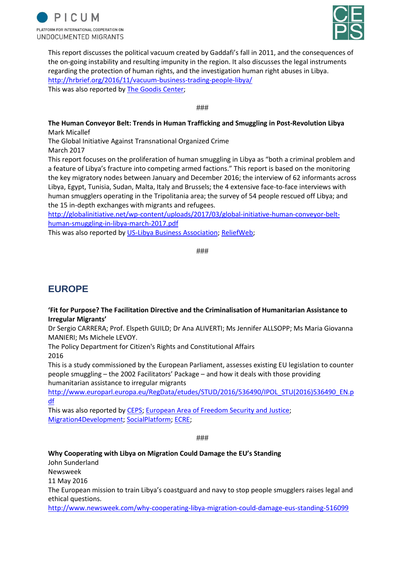



This report discusses the political vacuum created by Gaddafi's fall in 2011, and the consequences of the on-going instability and resulting impunity in the region. It also discusses the legal instruments regarding the protection of human rights, and the investigation human right abuses in Libya. <http://hrbrief.org/2016/11/vacuum-business-trading-people-libya/> This was also reported by [The Goodis Center;](http://www.thegoodiscenter.org/2016/11/17/in-a-vacuum-the-business-of-trading-in-people-in-libya/)

###

#### **The Human Conveyor Belt: Trends in Human Trafficking and Smuggling in Post-Revolution Libya** Mark Micallef

The Global Initiative Against Transnational Organized Crime March 2017

This report focuses on the proliferation of human smuggling in Libya as "both a criminal problem and a feature of Libya's fracture into competing armed factions." This report is based on the monitoring the key migratory nodes between January and December 2016; the interview of 62 informants across Libya, Egypt, Tunisia, Sudan, Malta, Italy and Brussels; the 4 extensive face-to-face interviews with human smugglers operating in the Tripolitania area; the survey of 54 people rescued off Libya; and the 15 in-depth exchanges with migrants and refugees.

[http://globalinitiative.net/wp-content/uploads/2017/03/global-initiative-human-conveyor-belt](http://globalinitiative.net/wp-content/uploads/2017/03/global-initiative-human-conveyor-belt-human-smuggling-in-libya-march-2017.pdf)[human-smuggling-in-libya-march-2017.pdf](http://globalinitiative.net/wp-content/uploads/2017/03/global-initiative-human-conveyor-belt-human-smuggling-in-libya-march-2017.pdf)

This was also reported by [US-Libya Business Association;](http://www.us-lba.org/human-conveyor-belt-trends-human-trafficking-and-smuggling-post-revolution-libya) [ReliefWeb;](https://reliefweb.int/report/libya/human-conveyor-belt-trends-human-trafficking-and-smuggling-post-revolution-libya)

###

# **EUROPE**

### **'Fit for Purpose? The Facilitation Directive and the Criminalisation of Humanitarian Assistance to Irregular Migrants'**

Dr Sergio CARRERA; Prof. Elspeth GUILD; Dr Ana ALIVERTI; Ms Jennifer ALLSOPP; Ms Maria Giovanna MANIERI; Ms Michele LEVOY.

The Policy Department for Citizen's Rights and Constitutional Affairs 2016

This is a study commissioned by the European Parliament, assesses existing EU legislation to counter people smuggling – the 2002 Facilitators' Package – and how it deals with those providing humanitarian assistance to irregular migrants

[http://www.europarl.europa.eu/RegData/etudes/STUD/2016/536490/IPOL\\_STU\(2016\)536490\\_EN.p](http://www.europarl.europa.eu/RegData/etudes/STUD/2016/536490/IPOL_STU(2016)536490_EN.pdf) [df](http://www.europarl.europa.eu/RegData/etudes/STUD/2016/536490/IPOL_STU(2016)536490_EN.pdf)

This was also reported by [CEPS;](https://www.ceps.eu/publications/fit-purposethe-facilitation-directive-and-criminalisation-humanitarian-assistance) [European Area of Freedom Security and Justice;](https://free-group.eu/2016/01/28/fit-for-purpose-the-facilitation-directive-and-the-criminalisation-of-humanitarian-assistance-to-irregular-migrants/) [Migration4Development;](http://www.migration4development.org/en/resources/library/fit-purpose-facilitation-directive-and-criminalisation-humanitarian-assistance) [SocialPlatform;](http://www.socialplatform.org/blog/european-parliament-study-on-the-facilitation-directive-an-unfit-law-criminalising-solidarity/) [ECRE;](https://www.ecre.org/european-parliament-study-eu-legal-framework-on-smuggling-violates-international-law-deters-humanitarian-assistance-and-deteriorates-situation-of-irregular-migrants/)

###

### **Why Cooperating with Libya on Migration Could Damage the EU's Standing**

John Sunderland Newsweek 11 May 2016 The European mission to train Libya's coastguard and navy to stop people smugglers raises legal and ethical questions.

<http://www.newsweek.com/why-cooperating-libya-migration-could-damage-eus-standing-516099>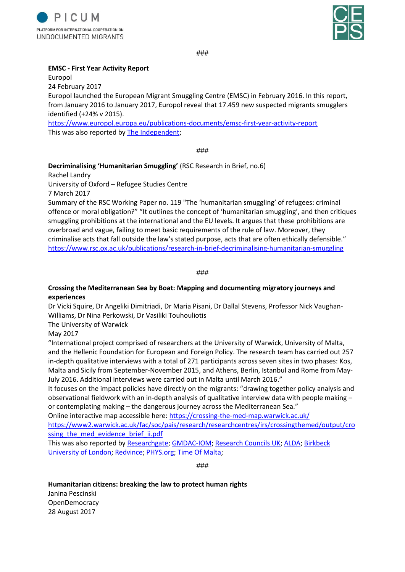



###

#### **EMSC - First Year Activity Report**

Europol

24 February 2017

Europol launched the European Migrant Smuggling Centre (EMSC) in February 2016. In this report, from January 2016 to January 2017, Europol reveal that 17.459 new suspected migrants smugglers identified (+24% v 2015).

<https://www.europol.europa.eu/publications-documents/emsc-first-year-activity-report> This was also reported by [The Independent;](http://www.independent.co.uk/news/world/europe/europol-eu-people-smuggling-success-refugees-dying-killed-mediterranean-migrant-crisis-border-a7598421.html)

###

### **Decriminalising 'Humanitarian Smuggling'** (RSC Research in Brief, no.6)

Rachel Landry

University of Oxford – Refugee Studies Centre

7 March 2017

Summary of the RSC Working Paper no. 119 "The 'humanitarian smuggling' of refugees: criminal offence or moral obligation?" "It outlines the concept of 'humanitarian smuggling', and then critiques smuggling prohibitions at the international and the EU levels. It argues that these prohibitions are overbroad and vague, failing to meet basic requirements of the rule of law. Moreover, they criminalise acts that fall outside the law's stated purpose, acts that are often ethically defensible." <https://www.rsc.ox.ac.uk/publications/research-in-brief-decriminalising-humanitarian-smuggling>

###

#### **Crossing the Mediterranean Sea by Boat: Mapping and documenting migratory journeys and experiences**

Dr Vicki Squire, Dr Angeliki Dimitriadi, Dr Maria Pisani, Dr Dallal Stevens, Professor Nick Vaughan‐ Williams, Dr Nina Perkowski, Dr Vasiliki Touhouliotis

The University of Warwick

May 2017

"International project comprised of researchers at the University of Warwick, University of Malta, and the Hellenic Foundation for European and Foreign Policy. The research team has carried out 257 in-depth qualitative interviews with a total of 271 participants across seven sites in two phases: Kos, Malta and Sicily from September-November 2015, and Athens, Berlin, Istanbul and Rome from May-July 2016. Additional interviews were carried out in Malta until March 2016."

It focuses on the impact policies have directly on the migrants: "drawing together policy analysis and observational fieldwork with an in-depth analysis of qualitative interview data with people making – or contemplating making – the dangerous journey across the Mediterranean Sea."

Online interactive map accessible here:<https://crossing-the-med-map.warwick.ac.uk/>

[https://www2.warwick.ac.uk/fac/soc/pais/research/researchcentres/irs/crossingthemed/output/cro](https://www2.warwick.ac.uk/fac/soc/pais/research/researchcentres/irs/crossingthemed/output/crossing_the_med_evidence_brief_ii.pdf) ssing the med evidence brief ii.pdf

This was also reported by [Researchgate;](https://www.researchgate.net/publication/316856219_Crossing_the_Mediterranean_Sea_by_Boat_Mapping_and_Documenting_Migratory_Journeys_and_Experiences) [GMDAC-IOM;](https://gmdac.iom.int/research-database/crossing-mediterranean-sea-boat-mapping-and-documenting-migratory-journeys-and-experiences) [Research Councils UK;](http://gtr.rcuk.ac.uk/projects?ref=ES/N013646/1) [ALDA;](https://www.alda-europe.eu/newSite/news_dett.php?id=1574) [Birkbeck](http://www.bbk.ac.uk/events-calendar/crossing-the-mediterranean-sea-by-boat-human-dignity-and-biophysical-violence)  [University of London;](http://www.bbk.ac.uk/events-calendar/crossing-the-mediterranean-sea-by-boat-human-dignity-and-biophysical-violence) [Redvince;](https://redvince.wordpress.com/2017/05/25/crossing-the-mediterranean-sea-by-boat-mapping-and-documenting-migratory-journeys-and-experiences/) [PHYS.org;](https://phys.org/news/2016-02-eu-policy-migrant-crisis.html) [Time Of Malta;](https://www.timesofmalta.com/articles/view/20170525/local/policies-trying-to-deter-migrants-set-to-fail.648949)

###

### **Humanitarian citizens: breaking the law to protect human rights**

Janina Pescinski **OpenDemocracy** 28 August 2017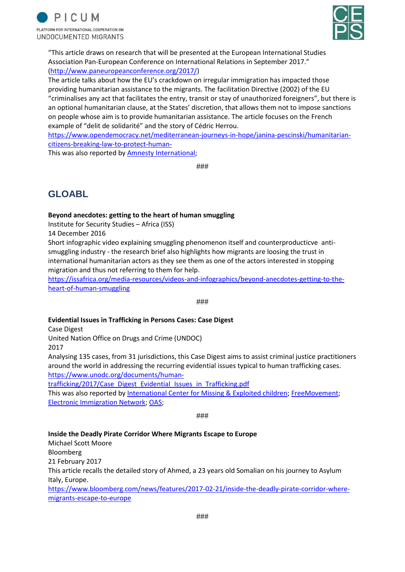



"This article draws on research that will be presented at the European International Studies Association Pan-European Conference on International Relations in September 2017." [\(http://www.paneuropeanconference.org/2017/\)](http://www.paneuropeanconference.org/2017/)

The article talks about how the EU's crackdown on irregular immigration has impacted those providing humanitarian assistance to the migrants. The facilitation Directive (2002) of the EU "criminalises any act that facilitates the entry, transit or stay of unauthorized foreigners", but there is an optional humanitarian clause, at the States' discretion, that allows them not to impose sanctions on people whose aim is to provide humanitarian assistance. The article focuses on the French example of "delit de solidarité" and the story of Cédric Herrou.

[https://www.opendemocracy.net/mediterranean-journeys-in-hope/janina-pescinski/humanitarian](https://www.opendemocracy.net/mediterranean-journeys-in-hope/janina-pescinski/humanitarian-citizens-breaking-law-to-protect-human-)[citizens-breaking-law-to-protect-human-](https://www.opendemocracy.net/mediterranean-journeys-in-hope/janina-pescinski/humanitarian-citizens-breaking-law-to-protect-human-)

This was also reported by [Amnesty International;](https://www.amnesty.fr/refugies-et-migrants/actualites/refugies-que-cache-le-mot-delit-de-solidarite)

###

# **GLOABL**

### **Beyond anecdotes: getting to the heart of human smuggling**

Institute for Security Studies – Africa (ISS)

14 December 2016

Short infographic video explaining smuggling phenomenon itself and counterproducticve antismuggling industry - the research brief also highlights how migrants are loosing the trust in international humanitarian actors as they see them as one of the actors interested in stopping migration and thus not referring to them for help.

[https://issafrica.org/media-resources/videos-and-infographics/beyond-anecdotes-getting-to-the](https://issafrica.org/media-resources/videos-and-infographics/beyond-anecdotes-getting-to-the-heart-of-human-smuggling)[heart-of-human-smuggling](https://issafrica.org/media-resources/videos-and-infographics/beyond-anecdotes-getting-to-the-heart-of-human-smuggling)

###

#### **Evidential Issues in Trafficking in Persons Cases: Case Digest**

Case Digest

United Nation Office on Drugs and Crime (UNDOC)

2017

Analysing 135 cases, from 31 jurisdictions, this Case Digest aims to assist criminal justice practitioners around the world in addressing the recurring evidential issues typical to human trafficking cases. [https://www.unodc.org/documents/human-](https://www.unodc.org/documents/human-trafficking/2017/Case_Digest_Evidential_Issues_in_Trafficking.pdf)

[trafficking/2017/Case\\_Digest\\_Evidential\\_Issues\\_in\\_Trafficking.pdf](https://www.unodc.org/documents/human-trafficking/2017/Case_Digest_Evidential_Issues_in_Trafficking.pdf)

This was also reported by [International Center for Missing & Exploited children;](https://www.icmec.org/case-digest-evidential-issues-in-trafficking-in-persons-cases/) [FreeMovement;](https://www.freemovement.org.uk/evidential-issues-trafficking-cases-un-office-drugs-crime/) [Electronic Immigration Network;](https://www.ein.org.uk/news/new-un-office-drugs-and-crime-digest-evidential-issues-trafficking-persons-cases) [OAS;](http://www.oas.org/ext/en/security/crime-prevention-network/Resources/Multimedia/case-digest-evidential-issues-in-trafficking-in-persons-cases)

###

#### **Inside the Deadly Pirate Corridor Where Migrants Escape to Europe**

Michael Scott Moore Bloomberg 21 February 2017 This article recalls the detailed story of Ahmed, a 23 years old Somalian on his journey to Asylum Italy, Europe. [https://www.bloomberg.com/news/features/2017-02-21/inside-the-deadly-pirate-corridor-where](https://www.bloomberg.com/news/features/2017-02-21/inside-the-deadly-pirate-corridor-where-migrants-escape-to-europe)[migrants-escape-to-europe](https://www.bloomberg.com/news/features/2017-02-21/inside-the-deadly-pirate-corridor-where-migrants-escape-to-europe)